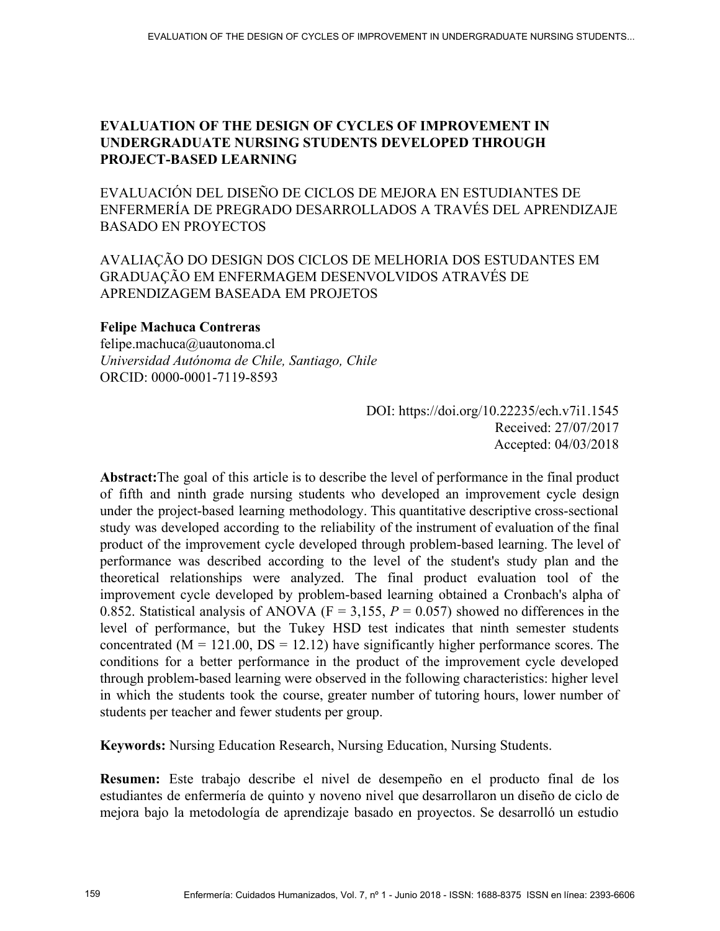# **EVALUATION OF THE DESIGN OF CYCLES OF IMPROVEMENT IN UNDERGRADUATE NURSING STUDENTS DEVELOPED THROUGH PROJECT-BASED LEARNING**

EVALUACIÓN DEL DISEÑO DE CICLOS DE MEJORA EN ESTUDIANTES DE ENFERMERÍA DE PREGRADO DESARROLLADOS A TRAVÉS DEL APRENDIZAJE BASADO EN PROYECTOS

# AVALIAÇÃO DO DESIGN DOS CICLOS DE MELHORIA DOS ESTUDANTES EM GRADUAÇÃO EM ENFERMAGEM DESENVOLVIDOS ATRAVÉS DE APRENDIZAGEM BASEADA EM PROJETOS

# **Felipe Machuca Contreras**

felipe.machuca@uautonoma.cl *Universidad Autónoma de Chile, Santiago, Chile*  ORCID: 0000-0001-7119-8593

> DOI: https://doi.org/10.22235/ech.v7i1.1545 Received: 27/07/2017 Accepted: 04/03/2018

**Abstract:**The goal of this article is to describe the level of performance in the final product of fifth and ninth grade nursing students who developed an improvement cycle design under the project-based learning methodology. This quantitative descriptive cross-sectional study was developed according to the reliability of the instrument of evaluation of the final product of the improvement cycle developed through problem-based learning. The level of performance was described according to the level of the student's study plan and the theoretical relationships were analyzed. The final product evaluation tool of the improvement cycle developed by problem-based learning obtained a Cronbach's alpha of 0.852. Statistical analysis of ANOVA ( $F = 3,155$ ,  $P = 0.057$ ) showed no differences in the level of performance, but the Tukey HSD test indicates that ninth semester students concentrated ( $M = 121.00$ ,  $DS = 12.12$ ) have significantly higher performance scores. The conditions for a better performance in the product of the improvement cycle developed through problem-based learning were observed in the following characteristics: higher level in which the students took the course, greater number of tutoring hours, lower number of students per teacher and fewer students per group.

**Keywords:** Nursing Education Research, Nursing Education, Nursing Students.

**Resumen:** Este trabajo describe el nivel de desempeño en el producto final de los estudiantes de enfermería de quinto y noveno nivel que desarrollaron un diseño de ciclo de mejora bajo la metodología de aprendizaje basado en proyectos. Se desarrolló un estudio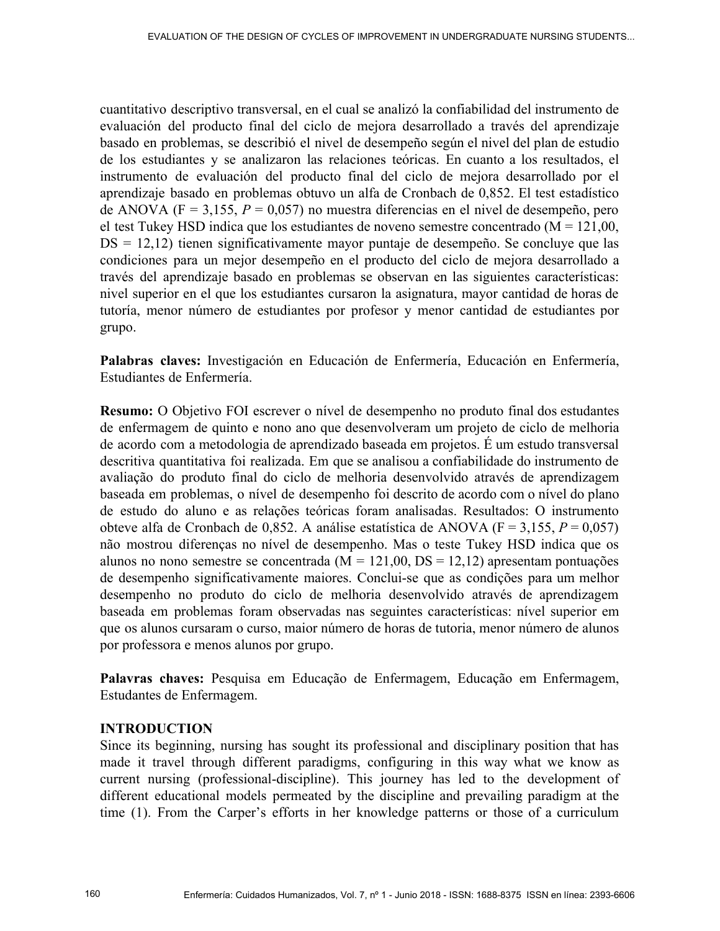cuantitativo descriptivo transversal, en el cual se analizó la confiabilidad del instrumento de evaluación del producto final del ciclo de mejora desarrollado a través del aprendizaje basado en problemas, se describió el nivel de desempeño según el nivel del plan de estudio de los estudiantes y se analizaron las relaciones teóricas. En cuanto a los resultados, el instrumento de evaluación del producto final del ciclo de mejora desarrollado por el aprendizaje basado en problemas obtuvo un alfa de Cronbach de 0,852. El test estadístico de ANOVA (F = 3,155, *P* = 0,057) no muestra diferencias en el nivel de desempeño, pero el test Tukey HSD indica que los estudiantes de noveno semestre concentrado  $(M = 121,00)$ , DS = 12,12) tienen significativamente mayor puntaje de desempeño. Se concluye que las condiciones para un mejor desempeño en el producto del ciclo de mejora desarrollado a través del aprendizaje basado en problemas se observan en las siguientes características: nivel superior en el que los estudiantes cursaron la asignatura, mayor cantidad de horas de tutoría, menor número de estudiantes por profesor y menor cantidad de estudiantes por grupo.

**Palabras claves:** Investigación en Educación de Enfermería, Educación en Enfermería, Estudiantes de Enfermería.

**Resumo:** O Objetivo FOI escrever o nível de desempenho no produto final dos estudantes de enfermagem de quinto e nono ano que desenvolveram um projeto de ciclo de melhoria de acordo com a metodologia de aprendizado baseada em projetos. É um estudo transversal descritiva quantitativa foi realizada. Em que se analisou a confiabilidade do instrumento de avaliação do produto final do ciclo de melhoria desenvolvido através de aprendizagem baseada em problemas, o nível de desempenho foi descrito de acordo com o nível do plano de estudo do aluno e as relações teóricas foram analisadas. Resultados: O instrumento obteve alfa de Cronbach de 0,852. A análise estatística de ANOVA ( $F = 3,155, P = 0,057$ ) não mostrou diferenças no nível de desempenho. Mas o teste Tukey HSD indica que os alunos no nono semestre se concentrada ( $M = 121,00$ ,  $DS = 12,12$ ) apresentam pontuações de desempenho significativamente maiores. Conclui-se que as condições para um melhor desempenho no produto do ciclo de melhoria desenvolvido através de aprendizagem baseada em problemas foram observadas nas seguintes características: nível superior em que os alunos cursaram o curso, maior número de horas de tutoria, menor número de alunos por professora e menos alunos por grupo.

**Palavras chaves:** Pesquisa em Educação de Enfermagem, Educação em Enfermagem, Estudantes de Enfermagem.

# **INTRODUCTION**

Since its beginning, nursing has sought its professional and disciplinary position that has made it travel through different paradigms, configuring in this way what we know as current nursing (professional-discipline). This journey has led to the development of different educational models permeated by the discipline and prevailing paradigm at the time (1). From the Carper's efforts in her knowledge patterns or those of a curriculum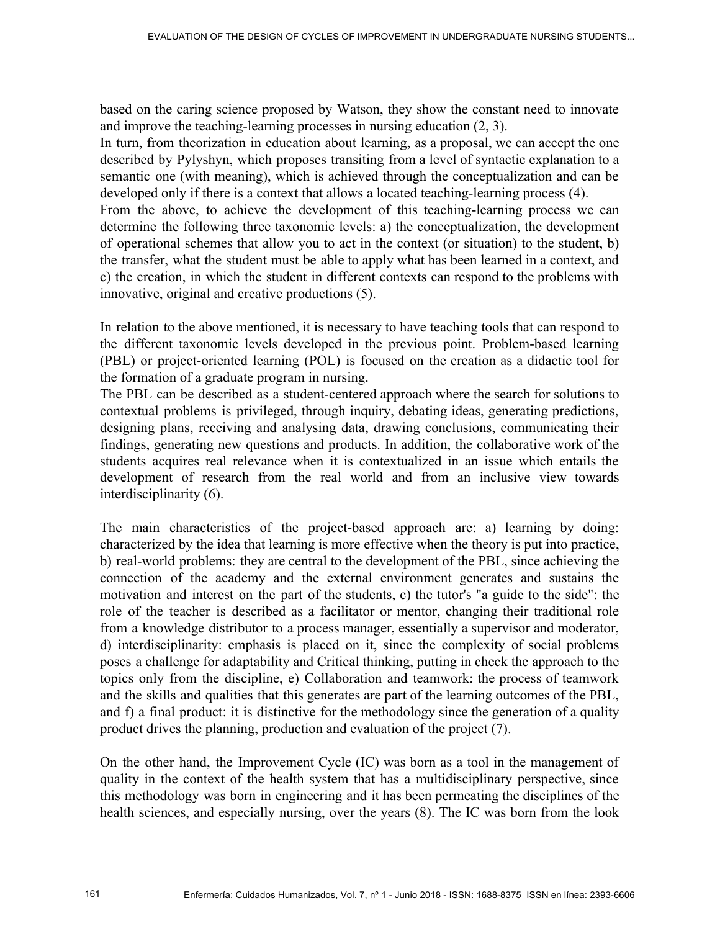based on the caring science proposed by Watson, they show the constant need to innovate and improve the teaching-learning processes in nursing education (2, 3).

In turn, from theorization in education about learning, as a proposal, we can accept the one described by Pylyshyn, which proposes transiting from a level of syntactic explanation to a semantic one (with meaning), which is achieved through the conceptualization and can be developed only if there is a context that allows a located teaching-learning process (4).

From the above, to achieve the development of this teaching-learning process we can determine the following three taxonomic levels: a) the conceptualization, the development of operational schemes that allow you to act in the context (or situation) to the student, b) the transfer, what the student must be able to apply what has been learned in a context, and c) the creation, in which the student in different contexts can respond to the problems with innovative, original and creative productions (5).

In relation to the above mentioned, it is necessary to have teaching tools that can respond to the different taxonomic levels developed in the previous point. Problem-based learning (PBL) or project-oriented learning (POL) is focused on the creation as a didactic tool for the formation of a graduate program in nursing.

The PBL can be described as a student-centered approach where the search for solutions to contextual problems is privileged, through inquiry, debating ideas, generating predictions, designing plans, receiving and analysing data, drawing conclusions, communicating their findings, generating new questions and products. In addition, the collaborative work of the students acquires real relevance when it is contextualized in an issue which entails the development of research from the real world and from an inclusive view towards interdisciplinarity (6).

The main characteristics of the project-based approach are: a) learning by doing: characterized by the idea that learning is more effective when the theory is put into practice, b) real-world problems: they are central to the development of the PBL, since achieving the connection of the academy and the external environment generates and sustains the motivation and interest on the part of the students, c) the tutor's "a guide to the side": the role of the teacher is described as a facilitator or mentor, changing their traditional role from a knowledge distributor to a process manager, essentially a supervisor and moderator, d) interdisciplinarity: emphasis is placed on it, since the complexity of social problems poses a challenge for adaptability and Critical thinking, putting in check the approach to the topics only from the discipline, e) Collaboration and teamwork: the process of teamwork and the skills and qualities that this generates are part of the learning outcomes of the PBL, and f) a final product: it is distinctive for the methodology since the generation of a quality product drives the planning, production and evaluation of the project (7).

On the other hand, the Improvement Cycle (IC) was born as a tool in the management of quality in the context of the health system that has a multidisciplinary perspective, since this methodology was born in engineering and it has been permeating the disciplines of the health sciences, and especially nursing, over the years (8). The IC was born from the look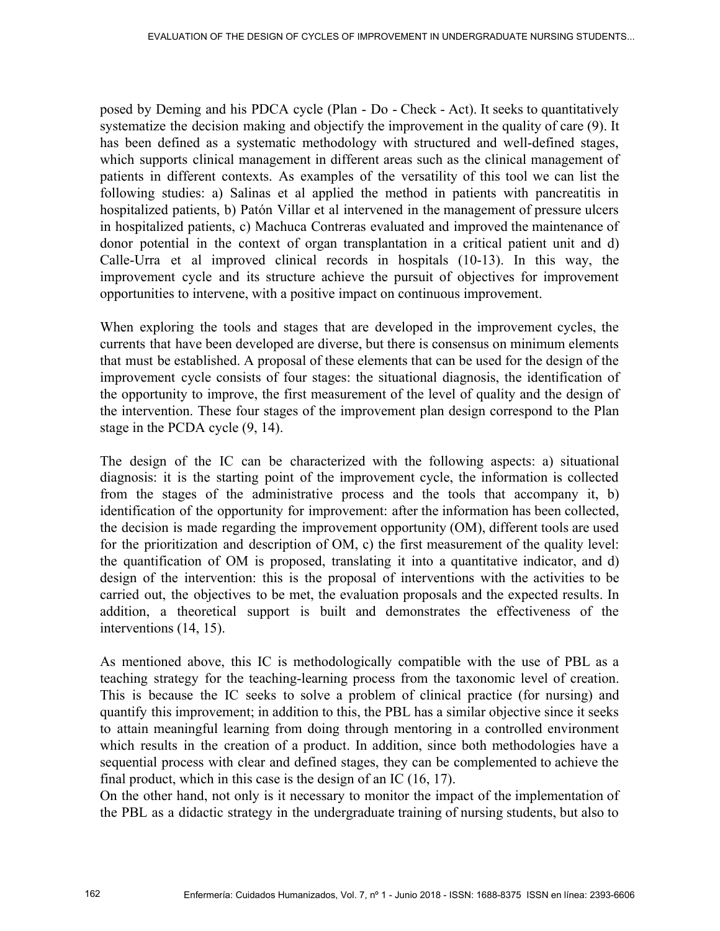posed by Deming and his PDCA cycle (Plan - Do - Check - Act). It seeks to quantitatively systematize the decision making and objectify the improvement in the quality of care (9). It has been defined as a systematic methodology with structured and well-defined stages, which supports clinical management in different areas such as the clinical management of patients in different contexts. As examples of the versatility of this tool we can list the following studies: a) Salinas et al applied the method in patients with pancreatitis in hospitalized patients, b) Patón Villar et al intervened in the management of pressure ulcers in hospitalized patients, c) Machuca Contreras evaluated and improved the maintenance of donor potential in the context of organ transplantation in a critical patient unit and d) Calle-Urra et al improved clinical records in hospitals (10-13). In this way, the improvement cycle and its structure achieve the pursuit of objectives for improvement opportunities to intervene, with a positive impact on continuous improvement.

When exploring the tools and stages that are developed in the improvement cycles, the currents that have been developed are diverse, but there is consensus on minimum elements that must be established. A proposal of these elements that can be used for the design of the improvement cycle consists of four stages: the situational diagnosis, the identification of the opportunity to improve, the first measurement of the level of quality and the design of the intervention. These four stages of the improvement plan design correspond to the Plan stage in the PCDA cycle (9, 14).

The design of the IC can be characterized with the following aspects: a) situational diagnosis: it is the starting point of the improvement cycle, the information is collected from the stages of the administrative process and the tools that accompany it, b) identification of the opportunity for improvement: after the information has been collected, the decision is made regarding the improvement opportunity (OM), different tools are used for the prioritization and description of OM, c) the first measurement of the quality level: the quantification of OM is proposed, translating it into a quantitative indicator, and d) design of the intervention: this is the proposal of interventions with the activities to be carried out, the objectives to be met, the evaluation proposals and the expected results. In addition, a theoretical support is built and demonstrates the effectiveness of the interventions (14, 15).

As mentioned above, this IC is methodologically compatible with the use of PBL as a teaching strategy for the teaching-learning process from the taxonomic level of creation. This is because the IC seeks to solve a problem of clinical practice (for nursing) and quantify this improvement; in addition to this, the PBL has a similar objective since it seeks to attain meaningful learning from doing through mentoring in a controlled environment which results in the creation of a product. In addition, since both methodologies have a sequential process with clear and defined stages, they can be complemented to achieve the final product, which in this case is the design of an IC (16, 17).

On the other hand, not only is it necessary to monitor the impact of the implementation of the PBL as a didactic strategy in the undergraduate training of nursing students, but also to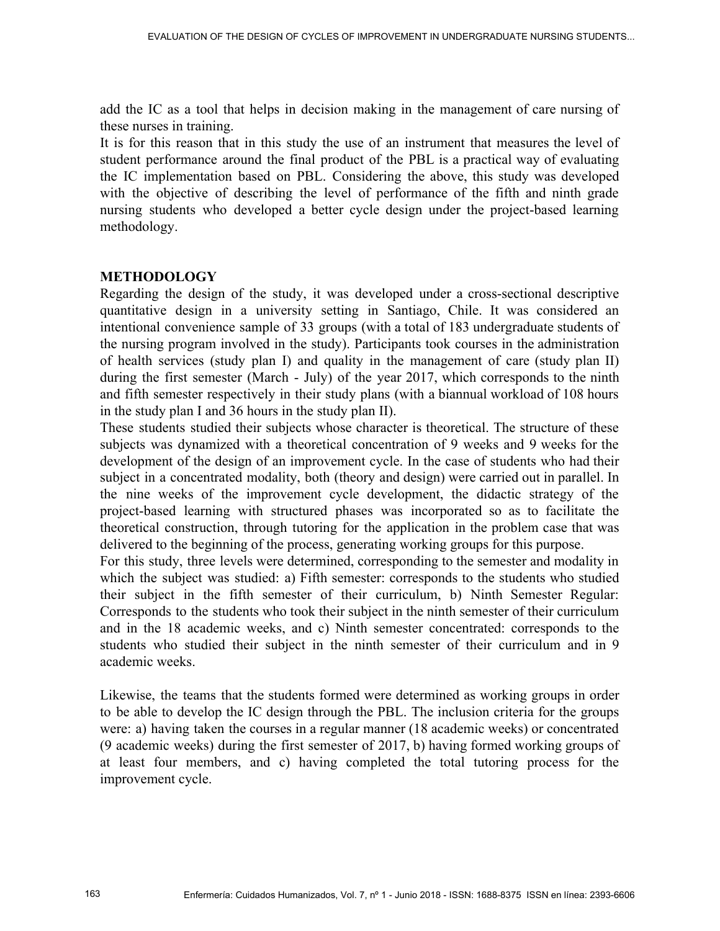add the IC as a tool that helps in decision making in the management of care nursing of these nurses in training.

It is for this reason that in this study the use of an instrument that measures the level of student performance around the final product of the PBL is a practical way of evaluating the IC implementation based on PBL. Considering the above, this study was developed with the objective of describing the level of performance of the fifth and ninth grade nursing students who developed a better cycle design under the project-based learning methodology.

### **METHODOLOGY**

Regarding the design of the study, it was developed under a cross-sectional descriptive quantitative design in a university setting in Santiago, Chile. It was considered an intentional convenience sample of 33 groups (with a total of 183 undergraduate students of the nursing program involved in the study). Participants took courses in the administration of health services (study plan I) and quality in the management of care (study plan II) during the first semester (March - July) of the year 2017, which corresponds to the ninth and fifth semester respectively in their study plans (with a biannual workload of 108 hours in the study plan I and 36 hours in the study plan II).

These students studied their subjects whose character is theoretical. The structure of these subjects was dynamized with a theoretical concentration of 9 weeks and 9 weeks for the development of the design of an improvement cycle. In the case of students who had their subject in a concentrated modality, both (theory and design) were carried out in parallel. In the nine weeks of the improvement cycle development, the didactic strategy of the project-based learning with structured phases was incorporated so as to facilitate the theoretical construction, through tutoring for the application in the problem case that was delivered to the beginning of the process, generating working groups for this purpose.

For this study, three levels were determined, corresponding to the semester and modality in which the subject was studied: a) Fifth semester: corresponds to the students who studied their subject in the fifth semester of their curriculum, b) Ninth Semester Regular: Corresponds to the students who took their subject in the ninth semester of their curriculum and in the 18 academic weeks, and c) Ninth semester concentrated: corresponds to the students who studied their subject in the ninth semester of their curriculum and in 9 academic weeks.

Likewise, the teams that the students formed were determined as working groups in order to be able to develop the IC design through the PBL. The inclusion criteria for the groups were: a) having taken the courses in a regular manner (18 academic weeks) or concentrated (9 academic weeks) during the first semester of 2017, b) having formed working groups of at least four members, and c) having completed the total tutoring process for the improvement cycle.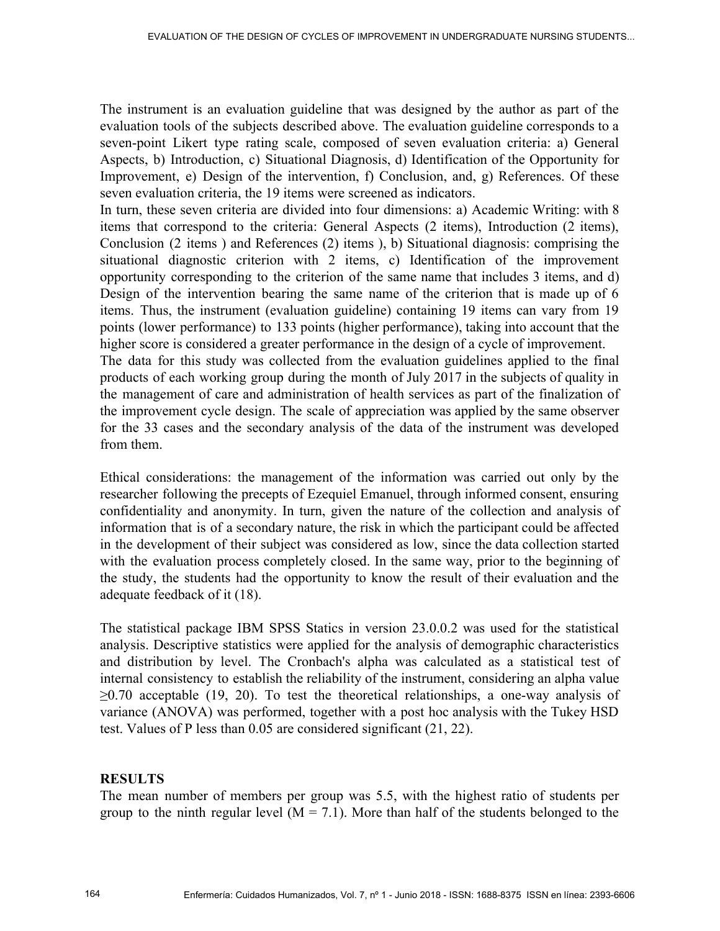The instrument is an evaluation guideline that was designed by the author as part of the evaluation tools of the subjects described above. The evaluation guideline corresponds to a seven-point Likert type rating scale, composed of seven evaluation criteria: a) General Aspects, b) Introduction, c) Situational Diagnosis, d) Identification of the Opportunity for Improvement, e) Design of the intervention, f) Conclusion, and, g) References. Of these seven evaluation criteria, the 19 items were screened as indicators.

In turn, these seven criteria are divided into four dimensions: a) Academic Writing: with 8 items that correspond to the criteria: General Aspects (2 items), Introduction (2 items), Conclusion (2 items ) and References (2) items ), b) Situational diagnosis: comprising the situational diagnostic criterion with 2 items, c) Identification of the improvement opportunity corresponding to the criterion of the same name that includes 3 items, and d) Design of the intervention bearing the same name of the criterion that is made up of 6 items. Thus, the instrument (evaluation guideline) containing 19 items can vary from 19 points (lower performance) to 133 points (higher performance), taking into account that the higher score is considered a greater performance in the design of a cycle of improvement.

The data for this study was collected from the evaluation guidelines applied to the final products of each working group during the month of July 2017 in the subjects of quality in the management of care and administration of health services as part of the finalization of the improvement cycle design. The scale of appreciation was applied by the same observer for the 33 cases and the secondary analysis of the data of the instrument was developed from them.

Ethical considerations: the management of the information was carried out only by the researcher following the precepts of Ezequiel Emanuel, through informed consent, ensuring confidentiality and anonymity. In turn, given the nature of the collection and analysis of information that is of a secondary nature, the risk in which the participant could be affected in the development of their subject was considered as low, since the data collection started with the evaluation process completely closed. In the same way, prior to the beginning of the study, the students had the opportunity to know the result of their evaluation and the adequate feedback of it (18).

The statistical package IBM SPSS Statics in version 23.0.0.2 was used for the statistical analysis. Descriptive statistics were applied for the analysis of demographic characteristics and distribution by level. The Cronbach's alpha was calculated as a statistical test of internal consistency to establish the reliability of the instrument, considering an alpha value  $\geq 0.70$  acceptable (19, 20). To test the theoretical relationships, a one-way analysis of variance (ANOVA) was performed, together with a post hoc analysis with the Tukey HSD test. Values of P less than 0.05 are considered significant (21, 22).

# **RESULTS**

The mean number of members per group was 5.5, with the highest ratio of students per group to the ninth regular level  $(M = 7.1)$ . More than half of the students belonged to the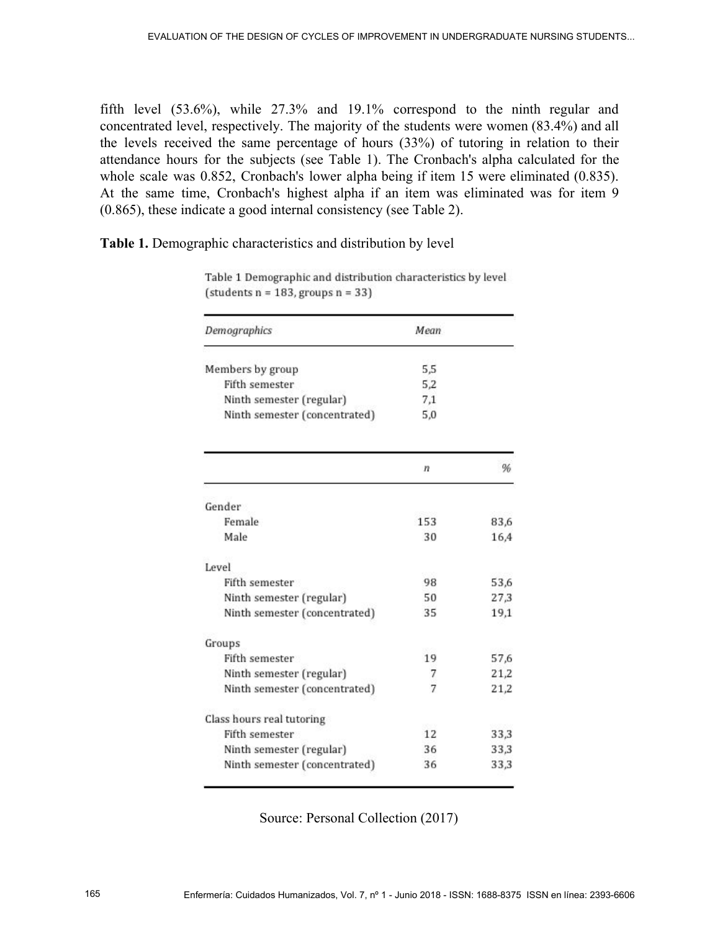fifth level (53.6%), while 27.3% and 19.1% correspond to the ninth regular and concentrated level, respectively. The majority of the students were women (83.4%) and all the levels received the same percentage of hours (33%) of tutoring in relation to their attendance hours for the subjects (see Table 1). The Cronbach's alpha calculated for the whole scale was 0.852, Cronbach's lower alpha being if item 15 were eliminated (0.835). At the same time, Cronbach's highest alpha if an item was eliminated was for item 9 (0.865), these indicate a good internal consistency (see Table 2).

**Table 1.** Demographic characteristics and distribution by level

| Demographics                  | Mean |      |
|-------------------------------|------|------|
| Members by group              | 5,5  |      |
| Fifth semester                | 5,2  |      |
| Ninth semester (regular)      | 7,1  |      |
| Ninth semester (concentrated) | 5,0  |      |
|                               | n    | %    |
| Gender                        |      |      |
| Female                        | 153  | 83,6 |
| Male                          | 30   | 16,4 |
| Level                         |      |      |
| Fifth semester                | 98   | 53,6 |
| Ninth semester (regular)      | 50   | 27,3 |
| Ninth semester (concentrated) | 35   | 19,1 |
| Groups                        |      |      |
| Fifth semester                | 19   | 57,6 |
| Ninth semester (regular)      | 7    | 21,2 |
| Ninth semester (concentrated) | 7    | 21,2 |
| Class hours real tutoring     |      |      |
| Fifth semester                | 12   | 33,3 |
| Ninth semester (regular)      | 36   | 33,3 |
| Ninth semester (concentrated) | 36   | 33,3 |

Table 1 Demographic and distribution characteristics by level  $(statents n = 183, groups n = 33)$ 

Source: Personal Collection (2017)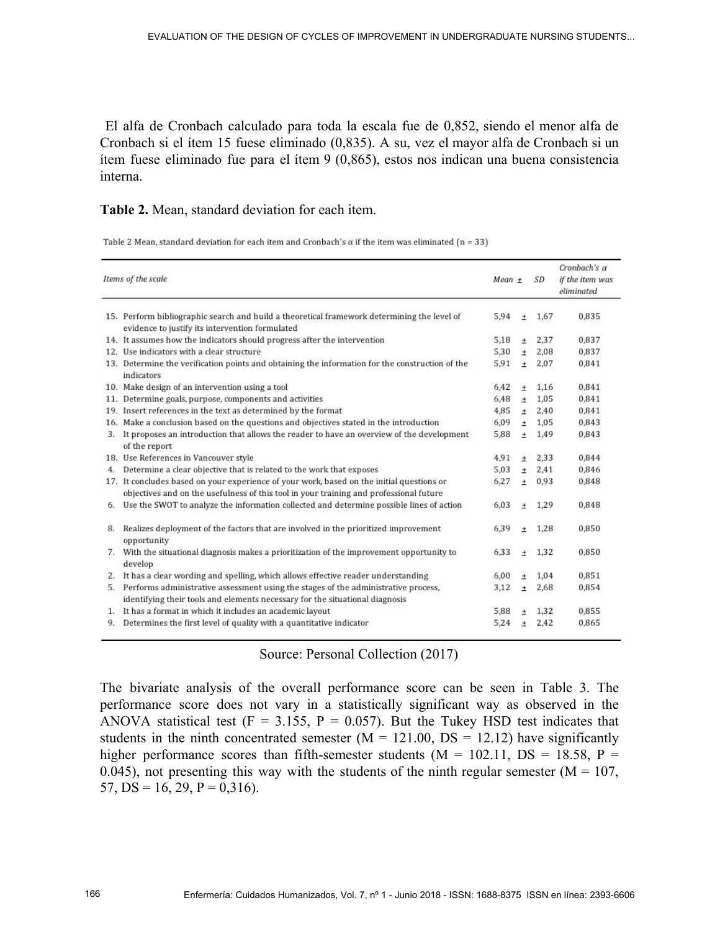El alfa de Cronbach calculado para toda la escala fue de 0,852, siendo el menor alfa de Cronbach si el ítem 15 fuese eliminado (0,835). A su, vez el mayor alfa de Cronbach si un ítem fuese eliminado fue para el ítem 9 (0,865), estos nos indican una buena consistencia interna.

## **Table 2.** Mean, standard deviation for each item.

Table 2 Mean, standard deviation for each item and Cronbach's  $\alpha$  if the item was eliminated (n = 33)

| Items of the scale |                                                                                                                                                                                     | $Mean +$ |        | SD   | Cronbach's a<br>if the item was<br>eliminated |  |
|--------------------|-------------------------------------------------------------------------------------------------------------------------------------------------------------------------------------|----------|--------|------|-----------------------------------------------|--|
|                    | 15. Perform bibliographic search and build a theoretical framework determining the level of<br>evidence to justify its intervention formulated                                      | 5.94     | $\pm$  | 1.67 | 0,835                                         |  |
|                    | 14. It assumes how the indicators should progress after the intervention                                                                                                            | 5,18     | $^{+}$ | 2,37 | 0,837                                         |  |
|                    | 12. Use indicators with a clear structure                                                                                                                                           | 5,30     | $+$    | 2.08 | 0.837                                         |  |
|                    | 13. Determine the verification points and obtaining the information for the construction of the<br>indicators                                                                       | 5,91     | $+$    | 2,07 | 0,841                                         |  |
|                    | 10. Make design of an intervention using a tool                                                                                                                                     | 6.42     | $+$    | 1.16 | 0.841                                         |  |
|                    | 11. Determine goals, purpose, components and activities                                                                                                                             | 6,48     | $\pm$  | 1.05 | 0,841                                         |  |
|                    | 19. Insert references in the text as determined by the format                                                                                                                       | 4.85     | $+$    | 2.40 | 0.841                                         |  |
|                    | 16. Make a conclusion based on the questions and objectives stated in the introduction                                                                                              | 6,09     | $\pm$  | 1.05 | 0.843                                         |  |
|                    | 3. It proposes an introduction that allows the reader to have an overview of the development<br>of the report                                                                       | 5,88     | $\pm$  | 1,49 | 0,843                                         |  |
|                    | 18. Use References in Vancouver style                                                                                                                                               | 4,91     | $^{+}$ | 2.33 | 0.844                                         |  |
| 4.                 | Determine a clear objective that is related to the work that exposes                                                                                                                | 5.03     | $\pm$  | 2.41 | 0,846                                         |  |
|                    | 17. It concludes based on your experience of your work, based on the initial questions or<br>objectives and on the usefulness of this tool in your training and professional future | 6,27     | $\pm$  | 0,93 | 0,848                                         |  |
|                    | 6. Use the SWOT to analyze the information collected and determine possible lines of action                                                                                         | 6.03     | $\pm$  | 1.29 | 0.848                                         |  |
| 8.                 | Realizes deployment of the factors that are involved in the prioritized improvement<br>opportunity                                                                                  | 6.39     | $+$    | 1.28 | 0.850                                         |  |
|                    | 7. With the situational diagnosis makes a prioritization of the improvement opportunity to<br>develop                                                                               | 6,33     | $\pm$  | 1,32 | 0,850                                         |  |
| 2.                 | It has a clear wording and spelling, which allows effective reader understanding                                                                                                    | 6,00     | $+$    | 1.04 | 0,851                                         |  |
|                    | 5. Performs administrative assessment using the stages of the administrative process,                                                                                               | 3,12     | $\pm$  | 2,68 | 0,854                                         |  |
|                    | identifying their tools and elements necessary for the situational diagnosis                                                                                                        |          |        |      |                                               |  |
| 1.                 | It has a format in which it includes an academic layout                                                                                                                             | 5,88     | $+$    | 1,32 | 0,855                                         |  |
| 9.                 | Determines the first level of quality with a quantitative indicator                                                                                                                 | 5,24     | $+$    | 2,42 | 0,865                                         |  |

## Source: Personal Collection (2017)

The bivariate analysis of the overall performance score can be seen in Table 3. The performance score does not vary in a statistically significant way as observed in the ANOVA statistical test ( $F = 3.155$ ,  $P = 0.057$ ). But the Tukey HSD test indicates that students in the ninth concentrated semester  $(M = 121.00, DS = 12.12)$  have significantly higher performance scores than fifth-semester students ( $M = 102.11$ ,  $DS = 18.58$ ,  $P =$ 0.045), not presenting this way with the students of the ninth regular semester ( $M = 107$ , 57,  $DS = 16$ , 29,  $P = 0,316$ .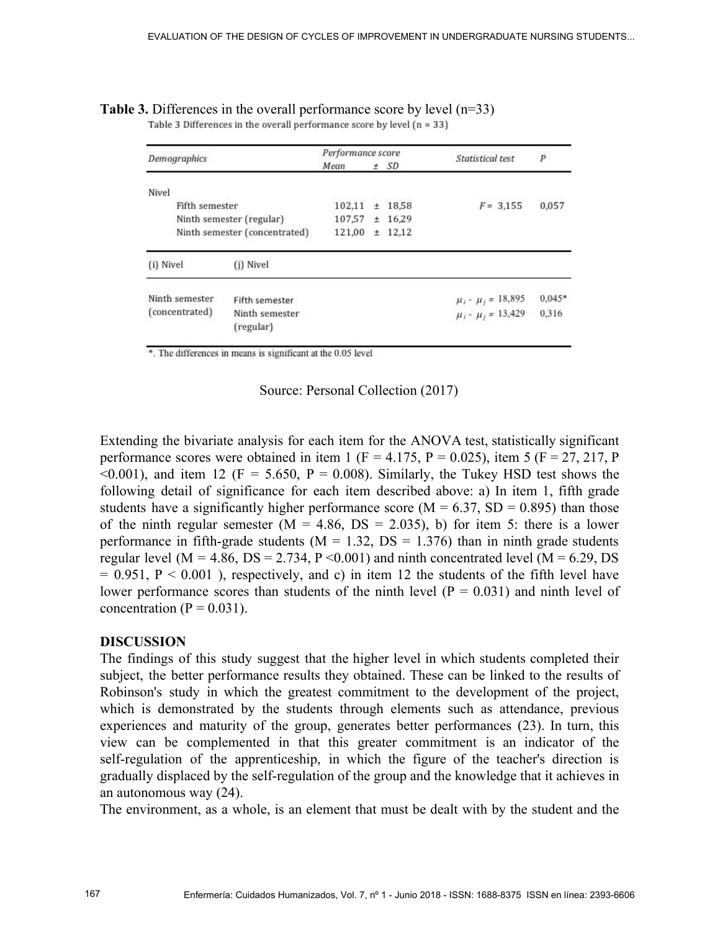| Demographics   |                               | Performance score |          |           | Statistical test           | P        |
|----------------|-------------------------------|-------------------|----------|-----------|----------------------------|----------|
|                | Mean                          |                   | $\pm$ SD |           |                            |          |
| Nivel          |                               |                   |          |           |                            |          |
| Fifth semester |                               | 102,11            |          | $±$ 18,58 | $F = 3.155$                | 0,057    |
|                | Ninth semester (regular)      |                   |          | ± 16,29   |                            |          |
|                | Ninth semester (concentrated) | 121,00            |          | $±$ 12,12 |                            |          |
| (i) Nivel      | (j) Nivel                     |                   |          |           |                            |          |
| Ninth semester | Fifth semester                |                   |          |           | $\mu_i$ - $\mu_j$ = 18,895 | $0.045*$ |
| (concentrated) | Ninth semester<br>(regular)   |                   |          |           | $\mu_i$ - $\mu_j$ = 13,429 | 0.316    |

**Table 3.** Differences in the overall performance score by level  $(n=33)$ <br>Table 3 Differences in the overall performance score by level  $(n=33)$ 

\*. The differences in means is significant at the 0.05 level

Source: Personal Collection (2017)

Extending the bivariate analysis for each item for the ANOVA test, statistically significant performance scores were obtained in item 1 (F = 4.175, P = 0.025), item 5 (F = 27, 217, P  $\leq 0.001$ ), and item 12 (F = 5.650, P = 0.008). Similarly, the Tukey HSD test shows the following detail of significance for each item described above: a) In item 1, fifth grade students have a significantly higher performance score ( $M = 6.37$ , SD = 0.895) than those of the ninth regular semester  $(M = 4.86, DS = 2.035)$ , b) for item 5: there is a lower performance in fifth-grade students ( $M = 1.32$ ,  $DS = 1.376$ ) than in ninth grade students regular level ( $M = 4.86$ ,  $DS = 2.734$ ,  $P < 0.001$ ) and ninth concentrated level ( $M = 6.29$ , DS  $= 0.951$ ,  $P < 0.001$ ), respectively, and c) in item 12 the students of the fifth level have lower performance scores than students of the ninth level  $(P = 0.031)$  and ninth level of concentration ( $P = 0.031$ ).

### **DISCUSSION**

The findings of this study suggest that the higher level in which students completed their subject, the better performance results they obtained. These can be linked to the results of Robinson's study in which the greatest commitment to the development of the project, which is demonstrated by the students through elements such as attendance, previous experiences and maturity of the group, generates better performances (23). In turn, this view can be complemented in that this greater commitment is an indicator of the self-regulation of the apprenticeship, in which the figure of the teacher's direction is gradually displaced by the self-regulation of the group and the knowledge that it achieves in an autonomous way (24).

The environment, as a whole, is an element that must be dealt with by the student and the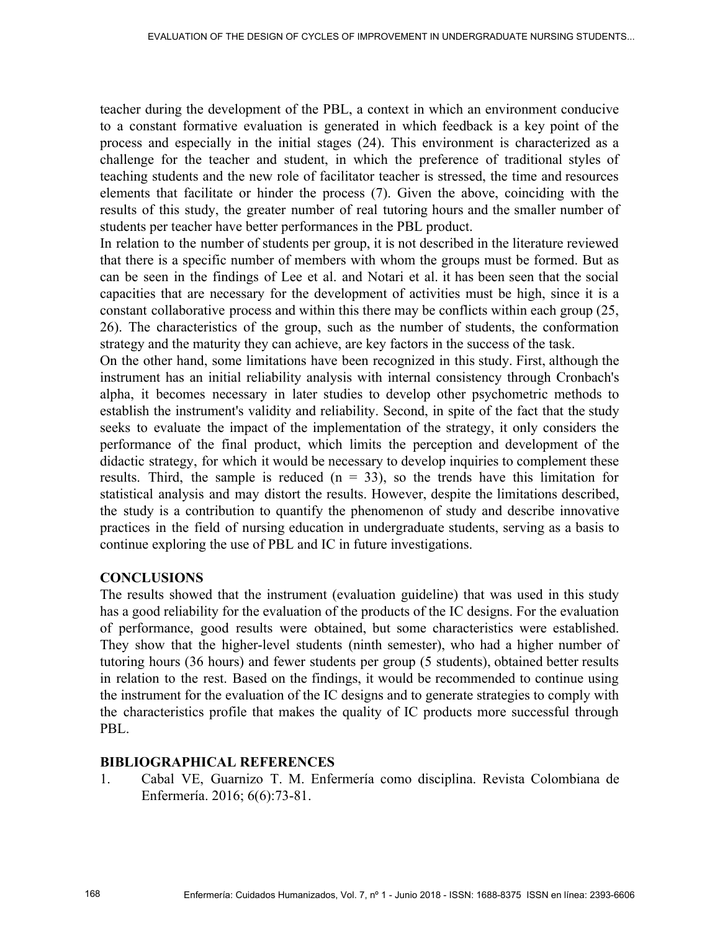teacher during the development of the PBL, a context in which an environment conducive to a constant formative evaluation is generated in which feedback is a key point of the process and especially in the initial stages (24). This environment is characterized as a challenge for the teacher and student, in which the preference of traditional styles of teaching students and the new role of facilitator teacher is stressed, the time and resources elements that facilitate or hinder the process (7). Given the above, coinciding with the results of this study, the greater number of real tutoring hours and the smaller number of students per teacher have better performances in the PBL product.

In relation to the number of students per group, it is not described in the literature reviewed that there is a specific number of members with whom the groups must be formed. But as can be seen in the findings of Lee et al. and Notari et al. it has been seen that the social capacities that are necessary for the development of activities must be high, since it is a constant collaborative process and within this there may be conflicts within each group (25, 26). The characteristics of the group, such as the number of students, the conformation strategy and the maturity they can achieve, are key factors in the success of the task.

On the other hand, some limitations have been recognized in this study. First, although the instrument has an initial reliability analysis with internal consistency through Cronbach's alpha, it becomes necessary in later studies to develop other psychometric methods to establish the instrument's validity and reliability. Second, in spite of the fact that the study seeks to evaluate the impact of the implementation of the strategy, it only considers the performance of the final product, which limits the perception and development of the didactic strategy, for which it would be necessary to develop inquiries to complement these results. Third, the sample is reduced  $(n = 33)$ , so the trends have this limitation for statistical analysis and may distort the results. However, despite the limitations described, the study is a contribution to quantify the phenomenon of study and describe innovative practices in the field of nursing education in undergraduate students, serving as a basis to continue exploring the use of PBL and IC in future investigations.

## **CONCLUSIONS**

The results showed that the instrument (evaluation guideline) that was used in this study has a good reliability for the evaluation of the products of the IC designs. For the evaluation of performance, good results were obtained, but some characteristics were established. They show that the higher-level students (ninth semester), who had a higher number of tutoring hours (36 hours) and fewer students per group (5 students), obtained better results in relation to the rest. Based on the findings, it would be recommended to continue using the instrument for the evaluation of the IC designs and to generate strategies to comply with the characteristics profile that makes the quality of IC products more successful through PBL.

### **BIBLIOGRAPHICAL REFERENCES**

1. Cabal VE, Guarnizo T. M. Enfermería como disciplina. Revista Colombiana de Enfermería. 2016; 6(6):73-81.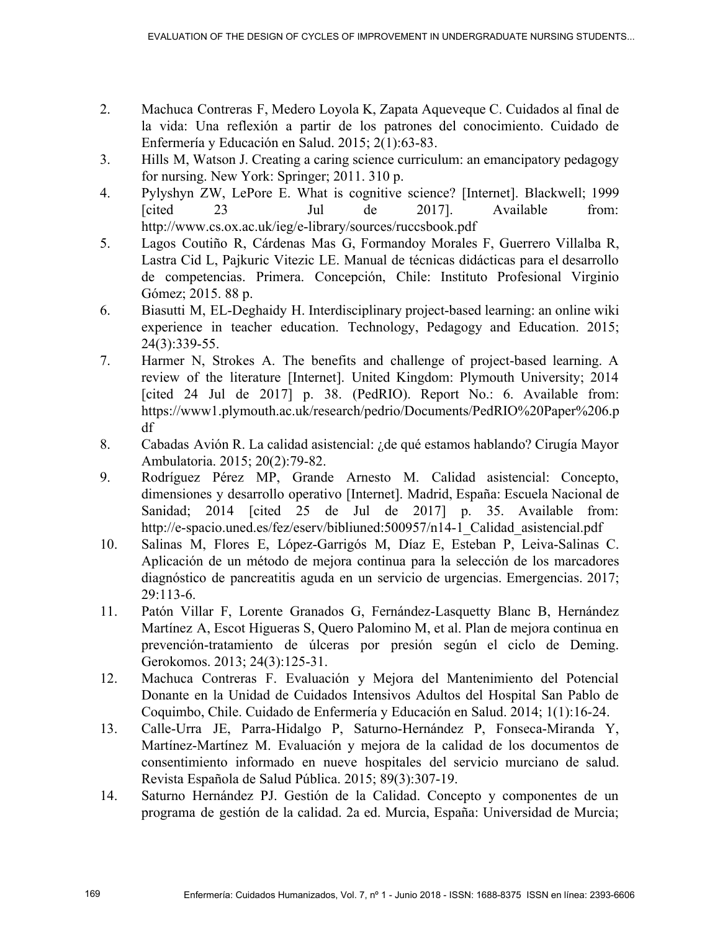- 2. Machuca Contreras F, Medero Loyola K, Zapata Aqueveque C. Cuidados al final de la vida: Una reflexión a partir de los patrones del conocimiento. Cuidado de Enfermería y Educación en Salud. 2015; 2(1):63-83.
- 3. Hills M, Watson J. Creating a caring science curriculum: an emancipatory pedagogy for nursing. New York: Springer; 2011. 310 p.
- 4. Pylyshyn ZW, LePore E. What is cognitive science? [Internet]. Blackwell; 1999 [cited 23 Jul de 2017]. Available from: http://www.cs.ox.ac.uk/ieg/e-library/sources/ruccsbook.pdf
- 5. Lagos Coutiño R, Cárdenas Mas G, Formandoy Morales F, Guerrero Villalba R, Lastra Cid L, Pajkuric Vitezic LE. Manual de técnicas didácticas para el desarrollo de competencias. Primera. Concepción, Chile: Instituto Profesional Virginio Gómez; 2015. 88 p.
- 6. Biasutti M, EL-Deghaidy H. Interdisciplinary project-based learning: an online wiki experience in teacher education. Technology, Pedagogy and Education. 2015; 24(3):339-55.
- 7. Harmer N, Strokes A. The benefits and challenge of project-based learning. A review of the literature [Internet]. United Kingdom: Plymouth University; 2014 [cited 24 Jul de 2017] p. 38. (PedRIO). Report No.: 6. Available from: https://www1.plymouth.ac.uk/research/pedrio/Documents/PedRIO%20Paper%206.p df
- 8. Cabadas Avión R. La calidad asistencial: ¿de qué estamos hablando? Cirugía Mayor Ambulatoria. 2015; 20(2):79-82.
- 9. Rodríguez Pérez MP, Grande Arnesto M. Calidad asistencial: Concepto, dimensiones y desarrollo operativo [Internet]. Madrid, España: Escuela Nacional de Sanidad; 2014 [cited 25 de Jul de 2017] p. 35. Available from: http://e-spacio.uned.es/fez/eserv/bibliuned:500957/n14-1\_Calidad\_asistencial.pdf
- 10. Salinas M, Flores E, López-Garrigós M, Díaz E, Esteban P, Leiva-Salinas C. Aplicación de un método de mejora continua para la selección de los marcadores diagnóstico de pancreatitis aguda en un servicio de urgencias. Emergencias. 2017; 29:113-6.
- 11. Patón Villar F, Lorente Granados G, Fernández-Lasquetty Blanc B, Hernández Martínez A, Escot Higueras S, Quero Palomino M, et al. Plan de mejora continua en prevención-tratamiento de úlceras por presión según el ciclo de Deming. Gerokomos. 2013; 24(3):125-31.
- 12. Machuca Contreras F. Evaluación y Mejora del Mantenimiento del Potencial Donante en la Unidad de Cuidados Intensivos Adultos del Hospital San Pablo de Coquimbo, Chile. Cuidado de Enfermería y Educación en Salud. 2014; 1(1):16-24.
- 13. Calle-Urra JE, Parra-Hidalgo P, Saturno-Hernández P, Fonseca-Miranda Y, Martínez-Martínez M. Evaluación y mejora de la calidad de los documentos de consentimiento informado en nueve hospitales del servicio murciano de salud. Revista Española de Salud Pública. 2015; 89(3):307-19.
- 14. Saturno Hernández PJ. Gestión de la Calidad. Concepto y componentes de un programa de gestión de la calidad. 2a ed. Murcia, España: Universidad de Murcia;